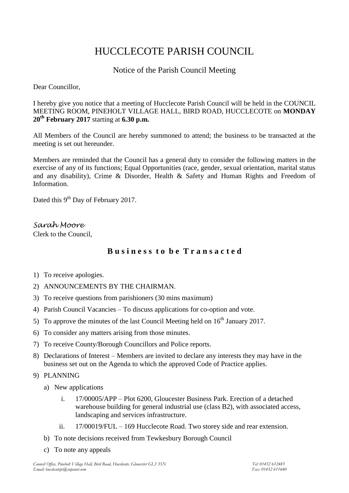# HUCCLECOTE PARISH COUNCIL

## Notice of the Parish Council Meeting

Dear Councillor,

I hereby give you notice that a meeting of Hucclecote Parish Council will be held in the COUNCIL MEETING ROOM, PINEHOLT VILLAGE HALL, BIRD ROAD, HUCCLECOTE on **MONDAY 20th February 2017** starting at **6.30 p.m.**

All Members of the Council are hereby summoned to attend; the business to be transacted at the meeting is set out hereunder.

Members are reminded that the Council has a general duty to consider the following matters in the exercise of any of its functions; Equal Opportunities (race, gender, sexual orientation, marital status and any disability), Crime & Disorder, Health & Safety and Human Rights and Freedom of Information.

Dated this 9<sup>th</sup> Day of February 2017.

*Sarah Moore* Clerk to the Council,

## **B u s i n e s s t o b e T r a n s a c t e d**

- 1) To receive apologies.
- 2) ANNOUNCEMENTS BY THE CHAIRMAN.
- 3) To receive questions from parishioners (30 mins maximum)
- 4) Parish Council Vacancies To discuss applications for co-option and vote.
- 5) To approve the minutes of the last Council Meeting held on  $16<sup>th</sup>$  January 2017.
- 6) To consider any matters arising from those minutes.
- 7) To receive County/Borough Councillors and Police reports.
- 8) Declarations of Interest Members are invited to declare any interests they may have in the business set out on the Agenda to which the approved Code of Practice applies.
- 9) PLANNING
	- a) New applications
		- i. 17/00005/APP Plot 6200, Gloucester Business Park. Erection of a detached warehouse building for general industrial use (class B2), with associated access, landscaping and services infrastructure.
		- ii. 17/00019/FUL 169 Hucclecote Road. Two storey side and rear extension.
	- b) To note decisions received from Tewkesbury Borough Council
	- c) To note any appeals